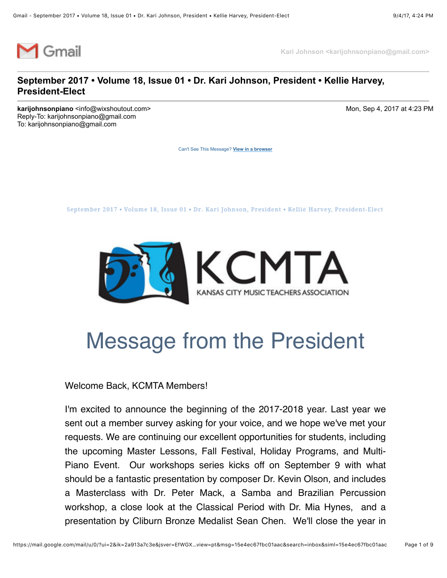

**Kari Johnson <karijohnsonpiano@gmail.com>**

#### **September 2017 • Volume 18, Issue 01 • Dr. Kari Johnson, President • Kellie Harvey, President-Elect**

**karijohnsonpiano** <info@wixshoutout.com> Mon, Sep 4, 2017 at 4:23 PM Reply-To: karijohnsonpiano@gmail.com To: karijohnsonpiano@gmail.com

[Can't See This Message?](https://shoutout.wix.com/so/eLngPRQQ?cid=0) **View in a browser**

September 2017 . Volume 18, Issue 01 . Dr. Kari Johnson, President . Kellie Harvey, President-Elect



## Message from the President

#### Welcome Back, KCMTA Members!

I'm excited to announce the beginning of the 2017-2018 year. Last year we sent out a member survey asking for your voice, and we hope we've met your requests. We are continuing our excellent opportunities for students, including the upcoming Master Lessons, Fall Festival, Holiday Programs, and Multi-Piano Event. Our workshops series kicks off on September 9 with what should be a fantastic presentation by composer Dr. Kevin Olson, and includes a Masterclass with Dr. Peter Mack, a Samba and Brazilian Percussion workshop, a close look at the Classical Period with Dr. Mia Hynes, and a presentation by Cliburn Bronze Medalist Sean Chen. We'll close the year in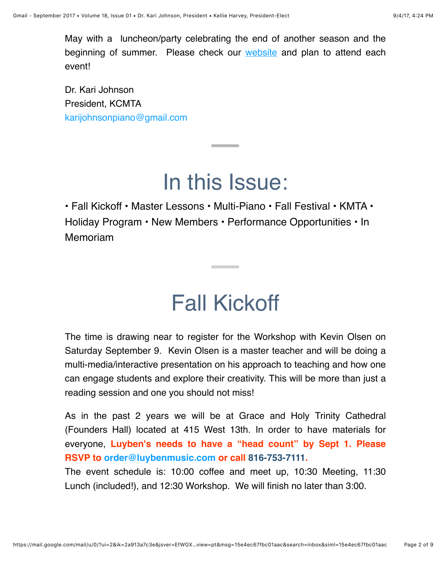May with a luncheon/party celebrating the end of another season and the beginning of summer. Please check our [website](http://www.kansascitymusicteachers.org/) and plan to attend each event!

Dr. Kari Johnson President, KCMTA [karijohnsonpiano@gmail.com](mailto:karijohnsonpiano@gmail.com)

## In this Issue:

**Contract Contract** 

• Fall Kickoff • Master Lessons • Multi-Piano • Fall Festival • KMTA • Holiday Program • New Members • Performance Opportunities • In Memoriam

## Fall Kickoff

**Contract Contract** 

The time is drawing near to register for the Workshop with Kevin Olsen on Saturday September 9. Kevin Olsen is a master teacher and will be doing a multi-media/interactive presentation on his approach to teaching and how one can engage students and explore their creativity. This will be more than just a reading session and one you should not miss!

As in the past 2 years we will be at Grace and Holy Trinity Cathedral (Founders Hall) located at 415 West 13th. In order to have materials for everyone, **Luyben's needs to have a "head count" by Sept 1. Please RSVP to [order@luybenmusic.com](mailto:order@luybenmusic.com) or call 816-753-7111.** 

The event schedule is: 10:00 coffee and meet up, 10:30 Meeting, 11:30 Lunch (included!), and 12:30 Workshop. We will finish no later than 3:00.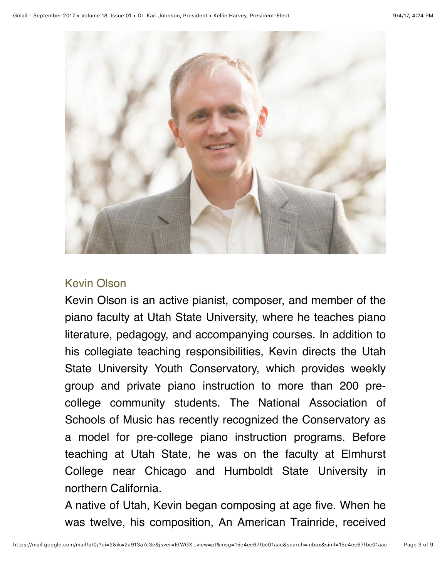

### Kevin Olson

Kevin Olson is an active pianist, composer, and member of the piano faculty at Utah State University, where he teaches piano literature, pedagogy, and accompanying courses. In addition to his collegiate teaching responsibilities, Kevin directs the Utah State University Youth Conservatory, which provides weekly group and private piano instruction to more than 200 precollege community students. The National Association of Schools of Music has recently recognized the Conservatory as a model for pre-college piano instruction programs. Before teaching at Utah State, he was on the faculty at Elmhurst College near Chicago and Humboldt State University in northern California.

A native of Utah, Kevin began composing at age five. When he was twelve, his composition, An American Trainride, received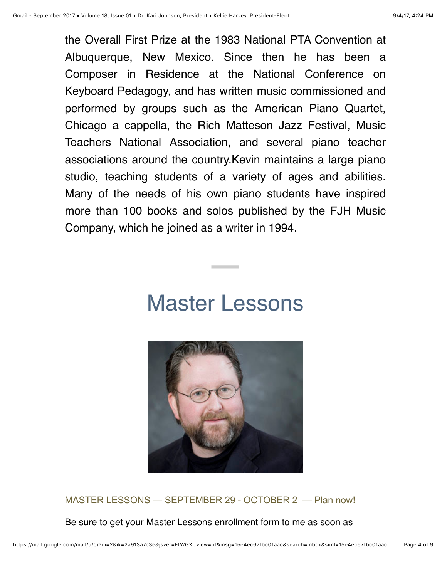the Overall First Prize at the 1983 National PTA Convention at Albuquerque, New Mexico. Since then he has been a Composer in Residence at the National Conference on Keyboard Pedagogy, and has written music commissioned and performed by groups such as the American Piano Quartet, Chicago a cappella, the Rich Matteson Jazz Festival, Music Teachers National Association, and several piano teacher associations around the country.Kevin maintains a large piano studio, teaching students of a variety of ages and abilities. Many of the needs of his own piano students have inspired more than 100 books and solos published by the FJH Music Company, which he joined as a writer in 1994.

## Master Lessons



MASTER LESSONS — SEPTEMBER 29 - OCTOBER 2 — Plan now!

Be sure to get your Master Lesson[s enrollment form](http://kansascitymusicteachers.org/student-programs/master-lessons/) to me as soon as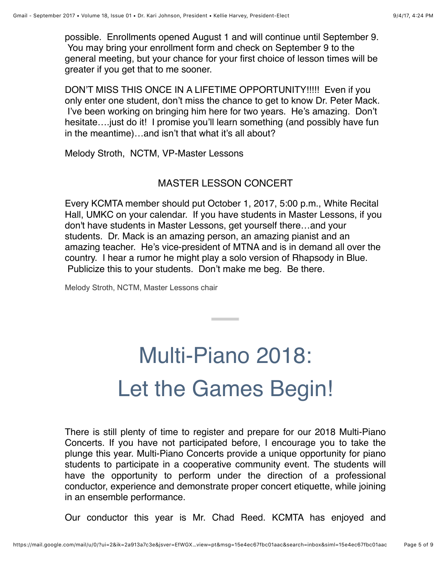possible. Enrollments opened August 1 and will continue until September 9. You may bring your enrollment form and check on September 9 to the general meeting, but your chance for your first choice of lesson times will be greater if you get that to me sooner.

DON'T MISS THIS ONCE IN A LIFETIME OPPORTUNITY!!!!! Even if you only enter one student, don't miss the chance to get to know Dr. Peter Mack. I've been working on bringing him here for two years. He's amazing. Don't hesitate.... just do it! I promise you'll learn something (and possibly have fun in the meantime)…and isn't that what it's all about?

Melody Stroth, NCTM, VP-Master Lessons

#### MASTER LESSON CONCERT

Every KCMTA member should put October 1, 2017, 5:00 p.m., White Recital Hall, UMKC on your calendar. If you have students in Master Lessons, if you don't have students in Master Lessons, get yourself there…and your students. Dr. Mack is an amazing person, an amazing pianist and an amazing teacher. He's vice-president of MTNA and is in demand all over the country. I hear a rumor he might play a solo version of Rhapsody in Blue. Publicize this to your students. Don't make me beg. Be there.

Melody Stroth, NCTM, Master Lessons chair

## Multi-Piano 2018: Let the Games Begin!

There is still plenty of time to register and prepare for our 2018 Multi-Piano Concerts. If you have not participated before, I encourage you to take the plunge this year. Multi-Piano Concerts provide a unique opportunity for piano students to participate in a cooperative community event. The students will have the opportunity to perform under the direction of a professional conductor, experience and demonstrate proper concert etiquette, while joining in an ensemble performance.

Our conductor this year is Mr. Chad Reed. KCMTA has enjoyed and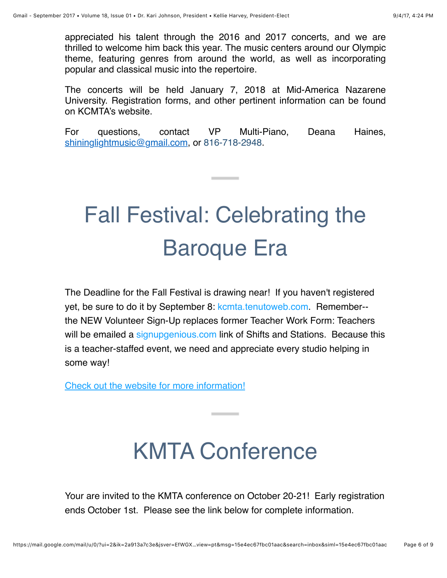appreciated his talent through the 2016 and 2017 concerts, and we are thrilled to welcome him back this year. The music centers around our Olympic theme, featuring genres from around the world, as well as incorporating popular and classical music into the repertoire.

The concerts will be held January 7, 2018 at Mid-America Nazarene University. Registration forms, and other pertinent information can be found on KCMTA's website.

For questions, contact VP Multi-Piano, Deana Haines, [shininglightmusic@gmail.com](mailto:shininglightmusic@gmail.com), or 816-718-2948.

# Fall Festival: Celebrating the Baroque Era

The Deadline for the Fall Festival is drawing near! If you haven't registered yet, be sure to do it by September 8: [kcmta.tenutoweb.com.](http://kcmta.tenutoweb.com/) Remember- the NEW Volunteer Sign-Up replaces former Teacher Work Form: Teachers will be emailed a [signupgenious.com](http://signupgenious.com/) link of Shifts and Stations. Because this is a teacher-staffed event, we need and appreciate every studio helping in some way!

[Check out the website for more information!](http://kansascitymusicteachers.org/student-programs/fall-festival/)

## KMTA Conference

Your are invited to the KMTA conference on October 20-21! Early registration ends October 1st. Please see the link below for complete information.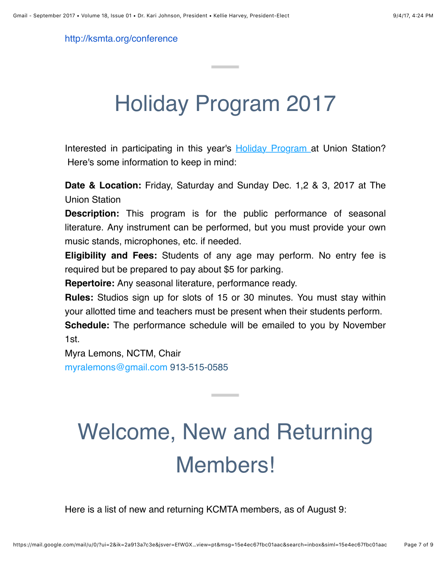[http://ksmta.org/conference](http://www.ksmta.org/conference)

## Holiday Program 2017

Interested in participating in this year's **Holiday Program** at Union Station? Here's some information to keep in mind:

**Date & Location:** Friday, Saturday and Sunday Dec. 1,2 & 3, 2017 at The Union Station

**Description:** This program is for the public performance of seasonal literature. Any instrument can be performed, but you must provide your own music stands, microphones, etc. if needed.

**Eligibility and Fees:** Students of any age may perform. No entry fee is required but be prepared to pay about \$5 for parking.

**Repertoire:** Any seasonal literature, performance ready.

**Rules:** Studios sign up for slots of 15 or 30 minutes. You must stay within your allotted time and teachers must be present when their students perform. **Schedule:** The performance schedule will be emailed to you by November 1st.

Myra Lemons, NCTM, Chair [myralemons@gmail.com](mailto:myralemons@gmail.com) 913-515-0585

# Welcome, New and Returning Members!

**Contract Contract** 

Here is a list of new and returning KCMTA members, as of August 9: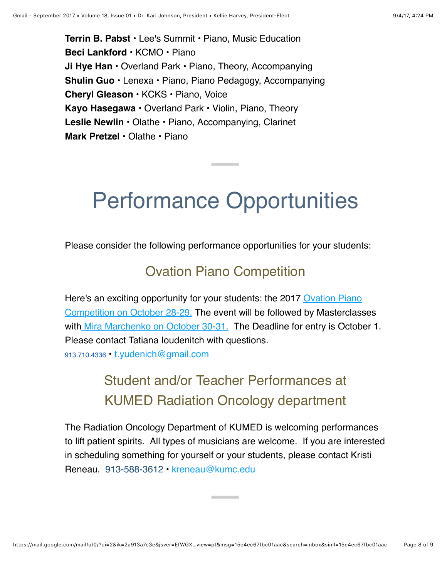**Terrin B. Pabst** • Lee's Summit • Piano, Music Education **Beci Lankford** • KCMO • Piano **Ji Hye Han** • Overland Park • Piano, Theory, Accompanying **Shulin Guo** • Lenexa • Piano, Piano Pedagogy, Accompanying **Cheryl Gleason** • KCKS • Piano, Voice **Kayo Hasegawa** • Overland Park • Violin, Piano, Theory **Leslie Newlin** • Olathe • Piano, Accompanying, Clarinet **Mark Pretzel** • Olathe • Piano

## Performance Opportunities

Please consider the following performance opportunities for your students:

### Ovation Piano Competition

[Here's an exciting opportunity for your students: the 2017 Ovation Piano](http://www.ovationpianocompetition.org/) Competition on [October 28-29.](http://www.ovationpianocompetition.org/) The event will be followed by Masterclasses with [Mira Marchenko on October 30-31.](http://www.ovationpianocompetition.org/2017-judges/) The Deadline for entry is October 1. Please contact Tatiana Ioudenitch with questions. 913.710.4336 • [t.yudenich@gmail.com](mailto:t.yudenich@gmail.com)

### Student and/or Teacher Performances at KUMED Radiation Oncology department

The Radiation Oncology Department of KUMED is welcoming performances to lift patient spirits. All types of musicians are welcome. If you are interested in scheduling something for yourself or your students, please contact Kristi Reneau. 913-588-3612 • [kreneau@kumc.edu](mailto:kreneau@kumc.edu)